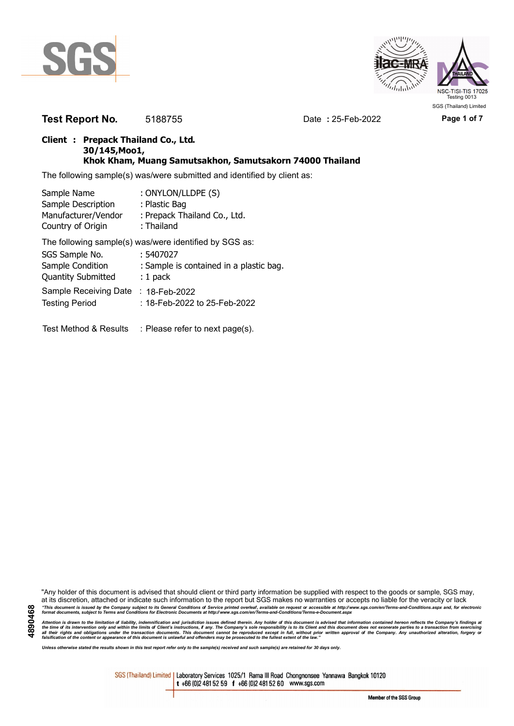



**Test Report No.** 5188755 Date **:** 25-Feb-2022 **Page 1 of 7**

### **Client : Prepack Thailand Co., Ltd. 30/145,Moo1, Khok Kham, Muang Samutsakhon, Samutsakorn 74000 Thailand**

The following sample(s) was/were submitted and identified by client as:

| Sample Name               | : ONYLON/LLDPE (S)                                     |
|---------------------------|--------------------------------------------------------|
| Sample Description        | : Plastic Bag                                          |
| Manufacturer/Vendor       | : Prepack Thailand Co., Ltd.                           |
| Country of Origin         | : Thailand                                             |
|                           | The following sample(s) was/were identified by SGS as: |
| SGS Sample No.            | : 5407027                                              |
| Sample Condition          | : Sample is contained in a plastic bag.                |
| <b>Quantity Submitted</b> | $: 1$ pack                                             |
| Sample Receiving Date     | : 18-Feb-2022                                          |
| <b>Testing Period</b>     | : 18-Feb-2022 to 25-Feb-2022                           |
| Test Method & Results     | : Please refer to next page(s).                        |

"Any holder of this document is advised that should client or third party information be supplied with respect to the goods or sample, SGS may, at its discretion, attached or indicate such information to the report but SGS makes no warranties or accepts no liable for the veracity or lack "This document is issued by the Company subject to its General Conditions of Service printed overleaf, available on request or accessible at http://www.sgs.com/en/Terms-and-Conditions.aspx and, for electronic<br>format docume

Attention is drawn to the limitation of liability, indemnification and jurisdiction issues defined therein. Any holder of this document is advised that information contained hereon reflects the Company's findings at<br>all th

*Unless otherwise stated the results shown in this test report refer only to the sample(s) received and such sample(s) are retained for 30 days only.*

SGS (Thailand) Limited | Laboratory Services 1025/1 Rama III Road Chongnonsee Yannawa Bangkok 10120 t +66 (0)2 481 52 59 f +66 (0)2 481 52 60 www.sgs.com

Member of the SGS Group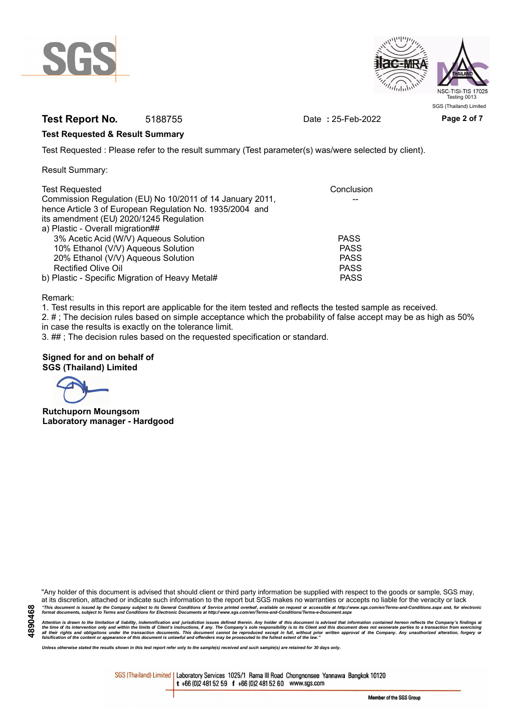



# **Test Report No.** 5188755 Date **:** 25-Feb-2022 **Page 2 of 7**

#### **Test Requested & Result Summary**

Test Requested : Please refer to the result summary (Test parameter(s) was/were selected by client).

Result Summary:

| <b>Test Requested</b>                                     | Conclusion  |
|-----------------------------------------------------------|-------------|
| Commission Regulation (EU) No 10/2011 of 14 January 2011, |             |
| hence Article 3 of European Regulation No. 1935/2004 and  |             |
| its amendment (EU) 2020/1245 Regulation                   |             |
| a) Plastic - Overall migration##                          |             |
| 3% Acetic Acid (W/V) Aqueous Solution                     | <b>PASS</b> |
| 10% Ethanol (V/V) Aqueous Solution                        | <b>PASS</b> |
| 20% Ethanol (V/V) Aqueous Solution                        | <b>PASS</b> |
| <b>Rectified Olive Oil</b>                                | <b>PASS</b> |
| b) Plastic - Specific Migration of Heavy Metal#           | <b>PASS</b> |

Remark:

1. Test results in this report are applicable for the item tested and reflects the tested sample as received.

2. # ; The decision rules based on simple acceptance which the probability of false accept may be as high as 50% in case the results is exactly on the tolerance limit.

3. ## ; The decision rules based on the requested specification or standard.

#### **Signed for and on behalf of SGS (Thailand) Limited**

**Rutchuporn Moungsom Laboratory manager - Hardgood**

"Any holder of this document is advised that should client or third party information be supplied with respect to the goods or sample, SGS may, at its discretion, attached or indicate such information to the report but SGS makes no warranties or accepts no liable for the veracity or lack "This document is issued by the Company subject to its General Conditions of Service printed overleaf, available on request or accessible at http://www.sgs.com/en/Terms-and-Conditions.aspx and, for electronic<br>format docume

Attention is drawn to the limitation of liability, indemnification and jurisdiction issues defined therein. Any holder of this document is advised that information contained hereon reflects the Company's findings at<br>all th

*Unless otherwise stated the results shown in this test report refer only to the sample(s) received and such sample(s) are retained for 30 days only.*

SGS (Thailand) Limited | Laboratory Services 1025/1 Rama III Road Chongnonsee Yannawa Bangkok 10120 t +66 (0)2 481 52 59 f +66 (0)2 481 52 60 www.sgs.com

Member of the SGS Group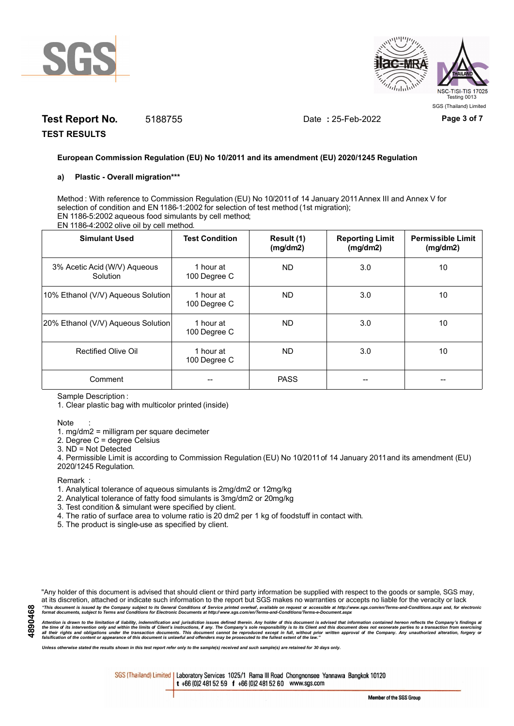



# **Test Report No.** 5188755 Date **:** 25-Feb-2022 **Page 3 of 7**

**TEST RESULTS**

#### **European Commission Regulation (EU) No 10/2011 and its amendment (EU) 2020/1245 Regulation**

#### **a) Plastic - Overall migration\*\*\***

Method : With reference to Commission Regulation (EU) No 10/2011 of 14 January 2011 Annex III and Annex V for selection of condition and EN 1186-1:2002 for selection of test method (1st migration); EN 1186-5:2002 aqueous food simulants by cell method; EN 1186-4:2002 olive oil by cell method.

| <b>Simulant Used</b>                     | <b>Test Condition</b>     | Result (1)<br>(mg/dm2) | <b>Reporting Limit</b><br>(mg/dm2) | <b>Permissible Limit</b><br>(mg/dm2) |
|------------------------------------------|---------------------------|------------------------|------------------------------------|--------------------------------------|
| 3% Acetic Acid (W/V) Aqueous<br>Solution | 1 hour at<br>100 Degree C | ND.                    | 3.0                                | 10                                   |
| 10% Ethanol (V/V) Aqueous Solution       | 1 hour at<br>100 Degree C | ND.                    | 3.0                                | 10                                   |
| 20% Ethanol (V/V) Aqueous Solution       | 1 hour at<br>100 Degree C | ND.                    | 3.0                                | 10                                   |
| Rectified Olive Oil                      | 1 hour at<br>100 Degree C | <b>ND</b>              | 3.0                                | 10                                   |
| Comment                                  |                           | <b>PASS</b>            |                                    |                                      |

Sample Description :

1. Clear plastic bag with multicolor printed (inside)

#### Note :

1. mg/dm2 = milligram per square decimeter

2. Degree C = degree Celsius

3. ND = Not Detected

4. Permissible Limit is according to Commission Regulation (EU) No 10/2011 of 14 January 2011 and its amendment (EU) 2020/1245 Regulation.

**Remark** 

- 1. Analytical tolerance of aqueous simulants is 2mg/dm2 or 12mg/kg
- 2. Analytical tolerance of fatty food simulants is 3mg/dm2 or 20mg/kg
- 3. Test condition & simulant were specified by client.
- 4. The ratio of surface area to volume ratio is 20 dm2 per 1 kg of foodstuff in contact with.
- 5. The product is single-use as specified by client.

"Any holder of this document is advised that should client or third party information be supplied with respect to the goods or sample, SGS may, at its discretion, attached or indicate such information to the report but SGS makes no warranties or accepts no liable for the veracity or lack "This document is issued by the Company subject to its General Conditions of Service printed overleaf, available on request or accessible at http://www.sgs.com/en/Terms-and-Conditions.aspx and, for electronic<br>format docume

Attention is drawn to the limitation of liability, indemnification and jurisdiction issues defined therein. Any holder of this document is advised that information contained hereon reflects the Company's findings at<br>all th

*Unless otherwise stated the results shown in this test report refer only to the sample(s) received and such sample(s) are retained for 30 days only.*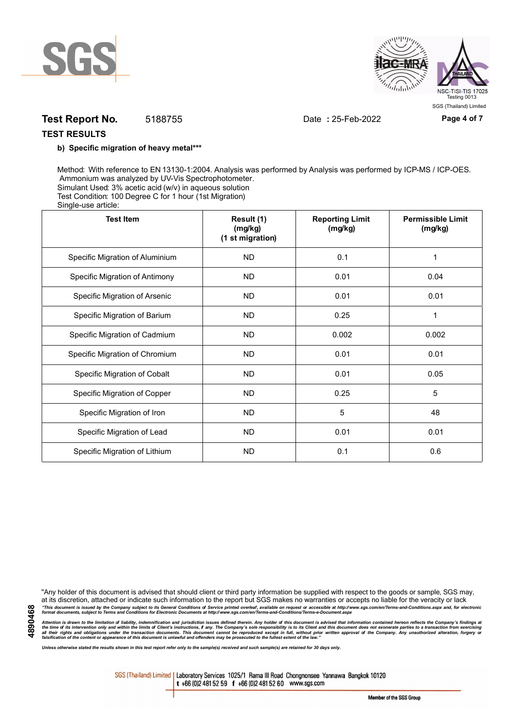



## **Test Report No.** 5188755 Date **:** 25-Feb-2022 **Page 4 of 7**

#### **TEST RESULTS**

#### **b) Specific migration of heavy metal\*\*\***

Method: With reference to EN 13130-1:2004. Analysis was performed by Analysis was performed by ICP-MS / ICP-OES. Ammonium was analyzed by UV-Vis Spectrophotometer. Simulant Used: 3% acetic acid (w/v) in aqueous solution Test Condition: 100 Degree C for 1 hour (1st Migration) Single-use article:

| <b>Test Item</b>                | Result (1)<br>(mg/kg)<br>(1 st migration) | <b>Reporting Limit</b><br>(mg/kg) | <b>Permissible Limit</b><br>(mg/kg) |  |
|---------------------------------|-------------------------------------------|-----------------------------------|-------------------------------------|--|
| Specific Migration of Aluminium | <b>ND</b>                                 | 0.1                               | 1                                   |  |
| Specific Migration of Antimony  | <b>ND</b>                                 | 0.01                              | 0.04                                |  |
| Specific Migration of Arsenic   | <b>ND</b>                                 | 0.01                              | 0.01                                |  |
| Specific Migration of Barium    | <b>ND</b>                                 | 0.25                              |                                     |  |
| Specific Migration of Cadmium   | <b>ND</b>                                 | 0.002                             | 0.002                               |  |
| Specific Migration of Chromium  | <b>ND</b>                                 | 0.01                              | 0.01                                |  |
| Specific Migration of Cobalt    | <b>ND</b>                                 | 0.01                              | 0.05                                |  |
| Specific Migration of Copper    | <b>ND</b>                                 | 0.25                              | 5                                   |  |
| Specific Migration of Iron      | <b>ND</b>                                 | 5                                 | 48                                  |  |
| Specific Migration of Lead      | <b>ND</b>                                 | 0.01                              | 0.01                                |  |
| Specific Migration of Lithium   | <b>ND</b>                                 | 0.1                               | 0.6                                 |  |

"Any holder of this document is advised that should client or third party information be supplied with respect to the goods or sample, SGS may, at its discretion, attached or indicate such information to the report but SGS makes no warranties or accepts no liable for the veracity or lack "This document is issued by the Company subject to its General Conditions of Service printed overleaf, available on request or accessible at http://www.sgs.com/en/Terms-and-Conditions.aspx and, for electronic<br>format docume

Attention is drawn to the limitation of liability, indemnification and jurisdiction issues defined therein. Any holder of this document is advised that information contained hereon reflects the Company's findings at<br>all th

*Unless otherwise stated the results shown in this test report refer only to the sample(s) received and such sample(s) are retained for 30 days only.*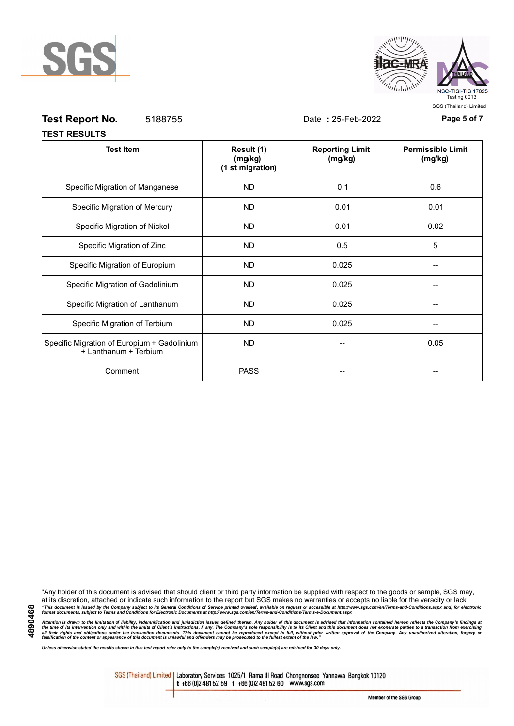



# **Test Report No.** 5188755 Date **:** 25-Feb-2022 **Page 5 of 7**

|  |  |  | . <b>.</b>          |  |  |  |  |
|--|--|--|---------------------|--|--|--|--|
|  |  |  |                     |  |  |  |  |
|  |  |  | <b>TEST RESULTS</b> |  |  |  |  |

| <b>Test Item</b>                                                     | Result (1)<br>(mg/kg)<br>(1 st migration) | <b>Reporting Limit</b><br>(mg/kg) | <b>Permissible Limit</b><br>(mg/kg) |
|----------------------------------------------------------------------|-------------------------------------------|-----------------------------------|-------------------------------------|
| Specific Migration of Manganese                                      | <b>ND</b>                                 | 0.1                               | 0.6                                 |
| Specific Migration of Mercury                                        | <b>ND</b>                                 | 0.01                              | 0.01                                |
| Specific Migration of Nickel                                         | <b>ND</b>                                 | 0.01                              | 0.02                                |
| Specific Migration of Zinc                                           | <b>ND</b>                                 | 0.5                               | 5                                   |
| Specific Migration of Europium                                       | <b>ND</b>                                 | 0.025                             |                                     |
| Specific Migration of Gadolinium                                     | <b>ND</b>                                 | 0.025                             |                                     |
| Specific Migration of Lanthanum                                      | <b>ND</b>                                 | 0.025                             |                                     |
| Specific Migration of Terbium                                        | <b>ND</b>                                 | 0.025                             |                                     |
| Specific Migration of Europium + Gadolinium<br>+ Lanthanum + Terbium | <b>ND</b>                                 |                                   | 0.05                                |
| Comment                                                              | <b>PASS</b>                               |                                   |                                     |

"Any holder of this document is advised that should client or third party information be supplied with respect to the goods or sample, SGS may, at its discretion, attached or indicate such information to the report but SGS makes no warranties or accepts no liable for the veracity or lack "This document is issued by the Company subject to its General Conditions of Service printed overleaf, available on request or accessible at http://www.sgs.com/en/Terms-and-Conditions.aspx and, for electronic<br>format docume

Attention is drawn to the limitation of liability, indemnification and jurisdiction issues defined therein. Any holder of this document is advised that information contained hereon reflects the Company's findings at<br>all th

*Unless otherwise stated the results shown in this test report refer only to the sample(s) received and such sample(s) are retained for 30 days only.*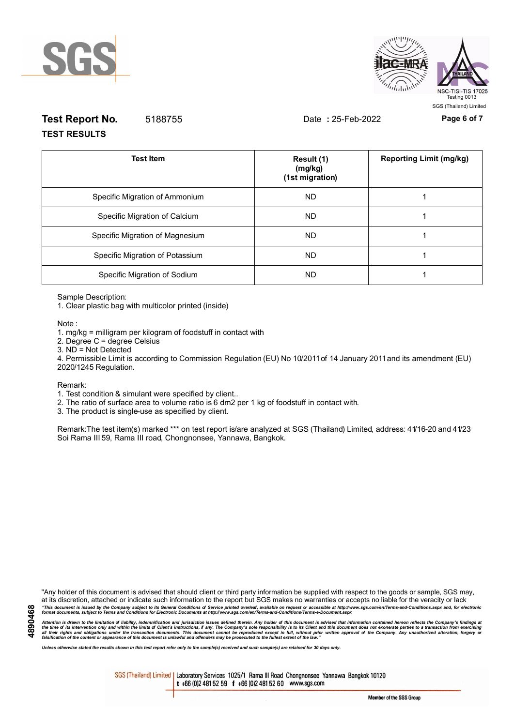



# **Test Report No.** 5188755 Date **:** 25-Feb-2022 **Page 6 of 7 TEST RESULTS**

| <b>Test Item</b>                | Result (1)<br>(mg/kg)<br>(1st migration) | <b>Reporting Limit (mg/kg)</b> |
|---------------------------------|------------------------------------------|--------------------------------|
| Specific Migration of Ammonium  | <b>ND</b>                                |                                |
| Specific Migration of Calcium   | ND.                                      |                                |
| Specific Migration of Magnesium | <b>ND</b>                                |                                |
| Specific Migration of Potassium | ND.                                      |                                |
| Specific Migration of Sodium    | <b>ND</b>                                |                                |

Sample Description:

1. Clear plastic bag with multicolor printed (inside)

Note :

1. mg/kg = milligram per kilogram of foodstuff in contact with

- 2. Degree C = degree Celsius
- 3. ND = Not Detected

4. Permissible Limit is according to Commission Regulation (EU) No 10/2011 of 14 January 2011 and its amendment (EU) 2020/1245 Regulation.

Remark:

1. Test condition & simulant were specified by client..

2. The ratio of surface area to volume ratio is 6 dm2 per 1 kg of foodstuff in contact with.

3. The product is single-use as specified by client.

Remark:The test item(s) marked \*\*\* on test report is/are analyzed at SGS (Thailand) Limited, address: 41/16-20 and 41/23 Soi Rama III 59, Rama III road, Chongnonsee, Yannawa, Bangkok.

"Any holder of this document is advised that should client or third party information be supplied with respect to the goods or sample, SGS may, at its discretion, attached or indicate such information to the report but SGS makes no warranties or accepts no liable for the veracity or lack "This document is issued by the Company subject to its General Conditions of Service printed overleaf, available on request or accessible at http://www.sgs.com/en/Terms-and-Conditions.aspx and, for electronic<br>format docume

Attention is drawn to the limitation of liability, indemnification and jurisdiction issues defined therein. Any holder of this document is advised that information contained hereon reflects the Company's findings at<br>all th

*Unless otherwise stated the results shown in this test report refer only to the sample(s) received and such sample(s) are retained for 30 days only.*